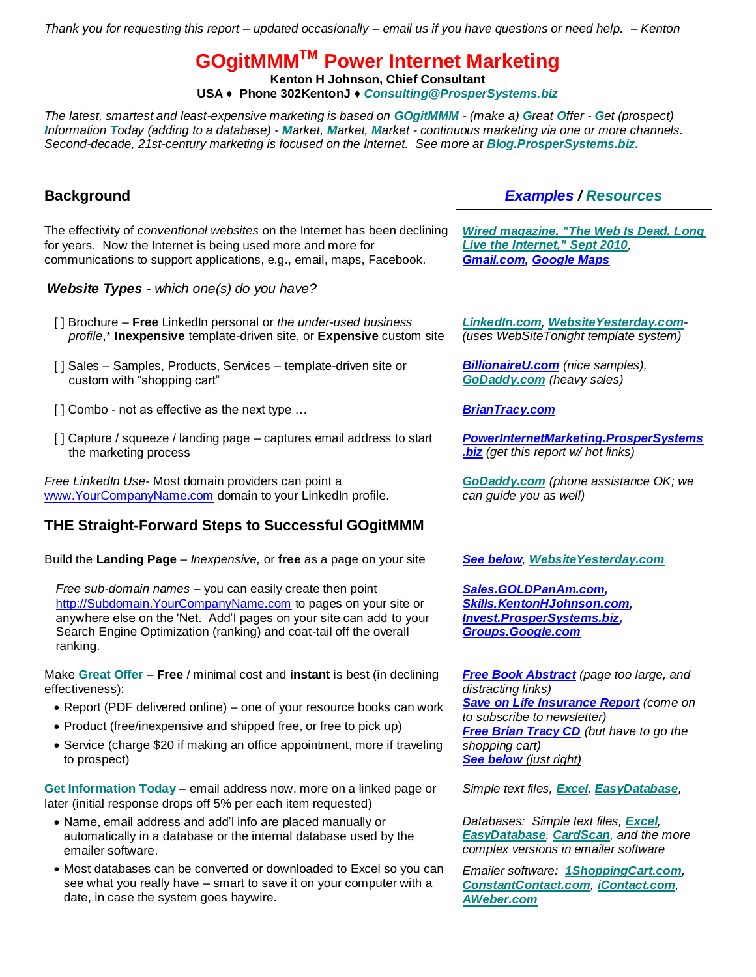*Thank you for requesting this report – updated occasionally – email us if you have questions or need help. – Kenton*

**GOgitMMMTM Power Internet Marketing**

**Kenton H Johnson, Chief Consultant**

**USA ♦ Phone 302KentonJ ♦** *[Consulting@ProsperSystems.biz](mailto:Consulting@ProsperSystems.biz?subject=Inquiry%20from%20GoGitMMM%20Report%20)*

*The latest, smartest and least-expensive marketing is based on GOgitMMM - (make a) Great Offer - Get (prospect) Information Today (adding to a database) - Market, Market, Market - continuous marketing via one or more channels. Second-decade, 21st-century marketing is focused on the Internet. See more at [Blog.ProsperSystems.biz.](http://prospersystems.blogspot.com/2009/10/new-state-of-art-marketing.html)*

The effectivity of *conventional websites* on the Internet has been declining for years. Now the Internet is being used more and more for communications to support applications, e.g., email, maps, Facebook.

*Website Types - which one(s) do you have?*

- [ ] Brochure **Free** LinkedIn personal or *the under-used business profile*,\* **Inexpensive** template-driven site, or **Expensive** custom site
- [] Sales Samples, Products, Services template-driven site or custom with "shopping cart"
- [ ] Combo not as effective as the next type … *[BrianTracy.com](http://bti.prospersystems.biz/)*
- [] Capture / squeeze / landing page captures email address to start the marketing process

*Free LinkedIn Use*- Most domain providers can point a www.YourCompanyName.com domain to your LinkedIn profile.

# **THE Straight-Forward Steps to Successful GOgitMMM**

Build the **Landing Page** – *Inexpensive,* or **free** as a page on your site *See [below](http://powerinternetmarketing.prospersystems.biz/), [WebsiteYesterday.com](http://websiteyesterday.com/)*

*Free sub-domain names* – you can easily create then point http://Subdomain.YourCompanyName.com to pages on your site or anywhere else on the 'Net. Add'l pages on your site can add to your Search Engine Optimization (ranking) and coat-tail off the overall ranking.

Make **Great Offer** – **Free** / minimal cost and **instant** is best (in declining effectiveness):

- Report (PDF delivered online) one of your resource books can work
- Product (free/inexpensive and shipped free, or free to pick up)
- Service (charge \$20 if making an office appointment, more if traveling to prospect)

**Get Information Today** – email address now, more on a linked page or later (initial response drops off 5% per each item requested)

- Name, email address and add'l info are placed manually or automatically in a database or the internal database used by the emailer software.
- Most databases can be converted or downloaded to Excel so you can see what you really have – smart to save it on your computer with a date, in case the system goes haywire.

## **Background** *Examples / Resources*

*[Wired magazine, "The Web Is Dead. Long](http://www.wired.com/magazine/2010/08/ff_webrip/all/1)  [Live the Internet," Sept 2010](http://www.wired.com/magazine/2010/08/ff_webrip/all/1), [Gmail.com,](http://gmail.com/) [Google Maps](http://maps.google.com/)*

*[LinkedIn.com](http://linkedin.com/), [WebsiteYesterday.com](http://websiteyesterday.com/)- (uses WebSiteTonight template system)* 

*[BillionaireU.com](http://billionaireu.com/) (nice samples), [GoDaddy.com](http://godaddy.com/) (heavy sales)*

*[PowerInternetMarketing.ProsperSystems](http://powerinternetmarketing.prospersystems.biz/) [.biz](http://powerinternetmarketing.prospersystems.biz/) (get this report w/ hot links)*

*[GoDaddy.com](http://www.godaddy.com/) (phone assistance OK; we can guide you as well)* 

*[Sales.GOLDPanAm.com,](http://sales.goldpanam.com/) [Skills.KentonHJohnson.com,](http://skills.kentonhjohnson.com/) [Invest.ProsperSystems.biz,](http://invest.prospersystems.biz/) [Groups.Google.com](http://groups.google.com/)*

*[Free Book Abstract](http://gab.prospersystems.biz/) (page too large, and distracting links) [Save on Life Insurance Report](http://legacyinsuranceagency.com/freereport/subscribe-lifeinsurance.html) (come on to subscribe to newsletter) [Free Brian Tracy CD](http://bti.prospersystems.biz/) (but have to go the shopping cart) [See below](http://powerinternetmarketing.prospersystems.biz/) (just right)*

*Simple text files, [Excel](http://office.microsoft.com/en-us/access-help/using-access-or-excel-to-manage-your-data-HA001042918.aspx), [EasyDatabase](http://www.google.com/search?q=easy+database+site%3Agodaddy.com),* 

*Databases: Simple text files, [Excel](http://office.microsoft.com/en-us/access-help/using-access-or-excel-to-manage-your-data-HA001042918.aspx), [EasyDatabase](http://www.google.com/search?q=easy+database+site%3Agodaddy.com), [CardScan](http://cardscan.com/), and the more complex versions in emailer software*

*Emailer software: [1ShoppingCart.com](http://www.1shoppingcart.com/), [ConstantContact.com](http://constantcontact.com/), [iContact.com](http://icontact.com/), [AWeber.com](http://aweber.com/)*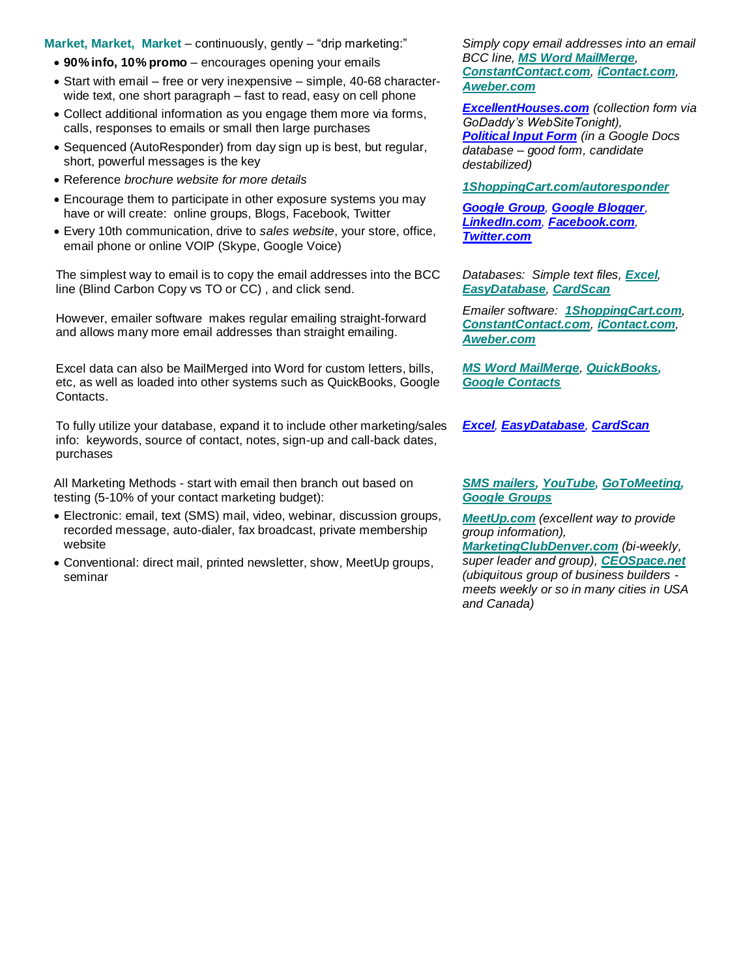### **Market, Market, Market** – continuously, gently – "drip marketing:"

- **90% info, 10% promo** encourages opening your emails
- Start with email free or very inexpensive simple, 40-68 characterwide text, one short paragraph – fast to read, easy on cell phone
- Collect additional information as you engage them more via forms, calls, responses to emails or small then large purchases
- Sequenced (AutoResponder) from day sign up is best, but regular, short, powerful messages is the key
- Reference *brochure website for more details*
- Encourage them to participate in other exposure systems you may have or will create: online groups, Blogs, Facebook, Twitter
- Every 10th communication, drive to *sales website*, your store, office, email phone or online VOIP (Skype, Google Voice)

The simplest way to email is to copy the email addresses into the BCC line (Blind Carbon Copy vs TO or CC) , and click send.

However, emailer software makes regular emailing straight-forward and allows many more email addresses than straight emailing.

Excel data can also be MailMerged into Word for custom letters, bills, etc, as well as loaded into other systems such as QuickBooks, Google Contacts.

To fully utilize your database, expand it to include other marketing/sales info: keywords, source of contact, notes, sign-up and call-back dates, purchases

All Marketing Methods - start with email then branch out based on testing (5-10% of your contact marketing budget):

- Electronic: email, text (SMS) mail, video, webinar, discussion groups, recorded message, auto-dialer, fax broadcast, private membership website
- Conventional: direct mail, printed newsletter, show, MeetUp groups, seminar

*Simply copy email addresses into an email BCC line, [MS Word MailMerge](http://office.microsoft.com/en-us/word-help/word-mail-merge-a-walk-through-the-process-HA001034920.aspx), [ConstantContact.com](http://constantcontact.com/), [iContact.com](http://icontact.com/), [Aweber.com](http://aweber.com/)*

*[ExcellentHouses.com](http://www.excellenthouses.com/Buy-Lease.html) (collection form via GoDaddy's WebSiteTonight), [Political Input Form](http://itfgdocspolitical.prospersystems.biz/) (in a Google Docs database – good form, candidate destabilized)*

*[1ShoppingCart.com/autoresponder](http://www.1shoppingcart.com/autoresponder)*

*[Google Group](http://group.prospersystems.biz/), [Google Blogger](http://blog.prospersystems.biz/), [LinkedIn.com](http://www.linkedin.com/in/KentonHJohnson), [Facebook.com](http://www.facebook.com/Kentonjohn), <Twitter.com>*

*Databases: Simple text files, [Excel](http://office.microsoft.com/en-us/access-help/using-access-or-excel-to-manage-your-data-HA001042918.aspx), [EasyDatabase](http://www.google.com/search?q=easy+database+site%3Agodaddy.com), [CardScan](http://cardscan.com/)*

*Emailer software: [1ShoppingCart.com](http://www.1shoppingcart.com/), [ConstantContact.com](http://constantcontact.com/), [iContact.com](http://icontact.com/), [Aweber.com](http://aweber.com/)*

*[MS Word MailMerge](http://office.microsoft.com/en-us/word-help/word-mail-merge-a-walk-through-the-process-HA001034920.aspx), [QuickBooks,](http://quickbooks.com/)  [Google Contacts](http://www.google.com/contacts)*

*[Excel](http://office.microsoft.com/en-us/access-help/using-access-or-excel-to-manage-your-data-HA001042918.aspx), [EasyDatabase](http://www.google.com/search?q=easy+database+site%3Agodaddy.com), [CardScan](http://cardscan.com/)*

### *[SMS mailers,](http://www.google.com/search?q=sms+marketing+software) [YouTube,](http://youtube.com/) [GoToMeeting,](http://gotomeeting.com/) [Google Groups](http://groups.google.com/)*

*[MeetUp.com](http://meetup.com/) (excellent way to provide group information),* 

*[MarketingClubDenver.com](http://marketingclubdenver.com/) (bi-weekly, super leader and group), [CEOSpace.net](http://ceospace.net/) (ubiquitous group of business builders meets weekly or so in many cities in USA and Canada)*